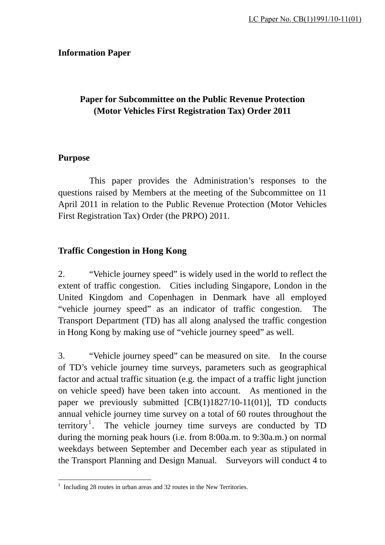#### **Information Paper**

## **Paper for Subcommittee on the Public Revenue Protection (Motor Vehicles First Registration Tax) Order 2011**

#### **Purpose**

 This paper provides the Administration's responses to the questions raised by Members at the meeting of the Subcommittee on 11 April 2011 in relation to the Public Revenue Protection (Motor Vehicles First Registration Tax) Order (the PRPO) 2011.

#### **Traffic Congestion in Hong Kong**

2. "Vehicle journey speed" is widely used in the world to reflect the extent of traffic congestion. Cities including Singapore, London in the United Kingdom and Copenhagen in Denmark have all employed "vehicle journey speed" as an indicator of traffic congestion. The Transport Department (TD) has all along analysed the traffic congestion in Hong Kong by making use of "vehicle journey speed" as well.

3. "Vehicle journey speed" can be measured on site. In the course of TD's vehicle journey time surveys, parameters such as geographical factor and actual traffic situation (e.g. the impact of a traffic light junction on vehicle speed) have been taken into account. As mentioned in the paper we previously submitted [CB(1)1827/10-11(01)], TD conducts annual vehicle journey time survey on a total of 60 routes throughout the territory<sup>1</sup>. The vehicle journey time surveys are conducted by TD during the morning peak hours (i.e. from 8:00a.m. to 9:30a.m.) on normal weekdays between September and December each year as stipulated in the Transport Planning and Design Manual. Surveyors will conduct 4 to

<sup>&</sup>lt;sup>1</sup> Including 28 routes in urban areas and 32 routes in the New Territories.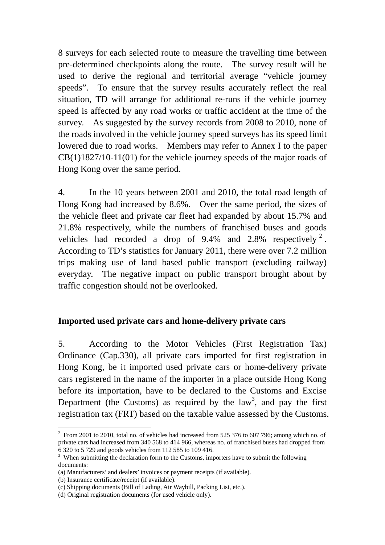8 surveys for each selected route to measure the travelling time between pre-determined checkpoints along the route. The survey result will be used to derive the regional and territorial average "vehicle journey speeds". To ensure that the survey results accurately reflect the real situation, TD will arrange for additional re-runs if the vehicle journey speed is affected by any road works or traffic accident at the time of the survey. As suggested by the survey records from 2008 to 2010, none of the roads involved in the vehicle journey speed surveys has its speed limit lowered due to road works. Members may refer to Annex I to the paper CB(1)1827/10-11(01) for the vehicle journey speeds of the major roads of Hong Kong over the same period.

4. In the 10 years between 2001 and 2010, the total road length of Hong Kong had increased by 8.6%. Over the same period, the sizes of the vehicle fleet and private car fleet had expanded by about 15.7% and 21.8% respectively, while the numbers of franchised buses and goods vehicles had recorded a drop of  $9.4\%$  and  $2.8\%$  respectively  $2$ . According to TD's statistics for January 2011, there were over 7.2 million trips making use of land based public transport (excluding railway) everyday. The negative impact on public transport brought about by traffic congestion should not be overlooked.

## **Imported used private cars and home-delivery private cars**

5. According to the Motor Vehicles (First Registration Tax) Ordinance (Cap.330), all private cars imported for first registration in Hong Kong, be it imported used private cars or home-delivery private cars registered in the name of the importer in a place outside Hong Kong before its importation, have to be declared to the Customs and Excise Department (the Customs) as required by the  $law<sup>3</sup>$ , and pay the first registration tax (FRT) based on the taxable value assessed by the Customs.

1

 $2$  From 2001 to 2010, total no. of vehicles had increased from 525 376 to 607 796; among which no. of private cars had increased from 340 568 to 414 966, whereas no. of franchised buses had dropped from 6 320 to 5 729 and goods vehicles from 112 585 to 109 416.

 $3$  When submitting the declaration form to the Customs, importers have to submit the following documents:

<sup>(</sup>a) Manufacturers' and dealers' invoices or payment receipts (if available).

<sup>(</sup>b) Insurance certificate/receipt (if available).

<sup>(</sup>c) Shipping documents (Bill of Lading, Air Waybill, Packing List, etc.).

<sup>(</sup>d) Original registration documents (for used vehicle only).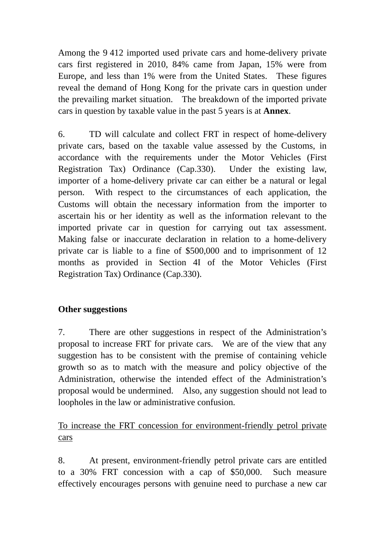Among the 9 412 imported used private cars and home-delivery private cars first registered in 2010, 84% came from Japan, 15% were from Europe, and less than 1% were from the United States. These figures reveal the demand of Hong Kong for the private cars in question under the prevailing market situation. The breakdown of the imported private cars in question by taxable value in the past 5 years is at **Annex**.

6. TD will calculate and collect FRT in respect of home-delivery private cars, based on the taxable value assessed by the Customs, in accordance with the requirements under the Motor Vehicles (First Registration Tax) Ordinance (Cap.330). Under the existing law, importer of a home-delivery private car can either be a natural or legal person. With respect to the circumstances of each application, the Customs will obtain the necessary information from the importer to ascertain his or her identity as well as the information relevant to the imported private car in question for carrying out tax assessment. Making false or inaccurate declaration in relation to a home-delivery private car is liable to a fine of \$500,000 and to imprisonment of 12 months as provided in Section 4I of the Motor Vehicles (First Registration Tax) Ordinance (Cap.330).

## **Other suggestions**

7. There are other suggestions in respect of the Administration's proposal to increase FRT for private cars. We are of the view that any suggestion has to be consistent with the premise of containing vehicle growth so as to match with the measure and policy objective of the Administration, otherwise the intended effect of the Administration's proposal would be undermined. Also, any suggestion should not lead to loopholes in the law or administrative confusion.

# To increase the FRT concession for environment-friendly petrol private cars

8. At present, environment-friendly petrol private cars are entitled to a 30% FRT concession with a cap of \$50,000. Such measure effectively encourages persons with genuine need to purchase a new car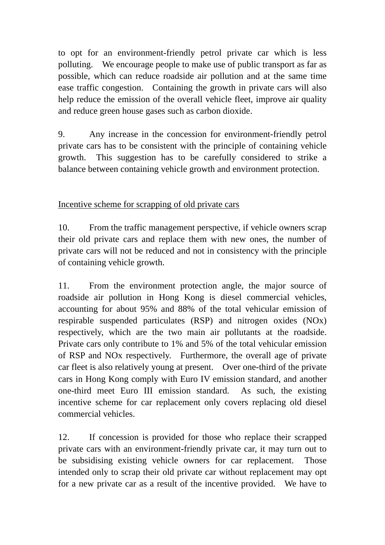to opt for an environment-friendly petrol private car which is less polluting. We encourage people to make use of public transport as far as possible, which can reduce roadside air pollution and at the same time ease traffic congestion. Containing the growth in private cars will also help reduce the emission of the overall vehicle fleet, improve air quality and reduce green house gases such as carbon dioxide.

9. Any increase in the concession for environment-friendly petrol private cars has to be consistent with the principle of containing vehicle growth. This suggestion has to be carefully considered to strike a balance between containing vehicle growth and environment protection.

Incentive scheme for scrapping of old private cars

10. From the traffic management perspective, if vehicle owners scrap their old private cars and replace them with new ones, the number of private cars will not be reduced and not in consistency with the principle of containing vehicle growth.

11. From the environment protection angle, the major source of roadside air pollution in Hong Kong is diesel commercial vehicles, accounting for about 95% and 88% of the total vehicular emission of respirable suspended particulates (RSP) and nitrogen oxides (NOx) respectively, which are the two main air pollutants at the roadside. Private cars only contribute to 1% and 5% of the total vehicular emission of RSP and NOx respectively. Furthermore, the overall age of private car fleet is also relatively young at present. Over one-third of the private cars in Hong Kong comply with Euro IV emission standard, and another one-third meet Euro III emission standard. As such, the existing incentive scheme for car replacement only covers replacing old diesel commercial vehicles.

12. If concession is provided for those who replace their scrapped private cars with an environment-friendly private car, it may turn out to be subsidising existing vehicle owners for car replacement. Those intended only to scrap their old private car without replacement may opt for a new private car as a result of the incentive provided. We have to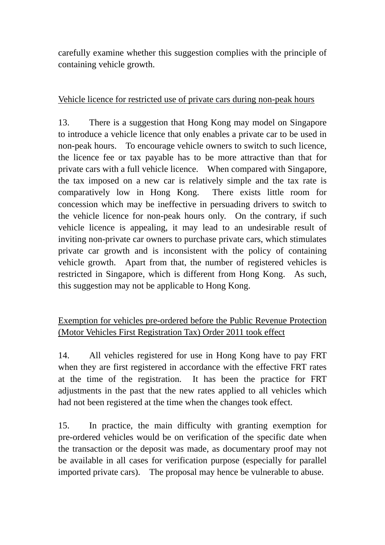carefully examine whether this suggestion complies with the principle of containing vehicle growth.

## Vehicle licence for restricted use of private cars during non-peak hours

13. There is a suggestion that Hong Kong may model on Singapore to introduce a vehicle licence that only enables a private car to be used in non-peak hours. To encourage vehicle owners to switch to such licence, the licence fee or tax payable has to be more attractive than that for private cars with a full vehicle licence. When compared with Singapore, the tax imposed on a new car is relatively simple and the tax rate is comparatively low in Hong Kong. There exists little room for concession which may be ineffective in persuading drivers to switch to the vehicle licence for non-peak hours only. On the contrary, if such vehicle licence is appealing, it may lead to an undesirable result of inviting non-private car owners to purchase private cars, which stimulates private car growth and is inconsistent with the policy of containing vehicle growth. Apart from that, the number of registered vehicles is restricted in Singapore, which is different from Hong Kong. As such, this suggestion may not be applicable to Hong Kong.

# Exemption for vehicles pre-ordered before the Public Revenue Protection (Motor Vehicles First Registration Tax) Order 2011 took effect

14. All vehicles registered for use in Hong Kong have to pay FRT when they are first registered in accordance with the effective FRT rates at the time of the registration. It has been the practice for FRT adjustments in the past that the new rates applied to all vehicles which had not been registered at the time when the changes took effect.

15. In practice, the main difficulty with granting exemption for pre-ordered vehicles would be on verification of the specific date when the transaction or the deposit was made, as documentary proof may not be available in all cases for verification purpose (especially for parallel imported private cars). The proposal may hence be vulnerable to abuse.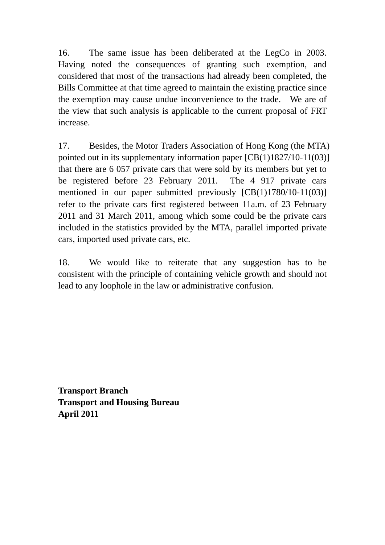16. The same issue has been deliberated at the LegCo in 2003. Having noted the consequences of granting such exemption, and considered that most of the transactions had already been completed, the Bills Committee at that time agreed to maintain the existing practice since the exemption may cause undue inconvenience to the trade. We are of the view that such analysis is applicable to the current proposal of FRT increase.

17. Besides, the Motor Traders Association of Hong Kong (the MTA) pointed out in its supplementary information paper [CB(1)1827/10-11(03)] that there are 6 057 private cars that were sold by its members but yet to be registered before 23 February 2011. The 4 917 private cars mentioned in our paper submitted previously [CB(1)1780/10-11(03)] refer to the private cars first registered between 11a.m. of 23 February 2011 and 31 March 2011, among which some could be the private cars included in the statistics provided by the MTA, parallel imported private cars, imported used private cars, etc.

18. We would like to reiterate that any suggestion has to be consistent with the principle of containing vehicle growth and should not lead to any loophole in the law or administrative confusion.

**Transport Branch Transport and Housing Bureau April 2011**